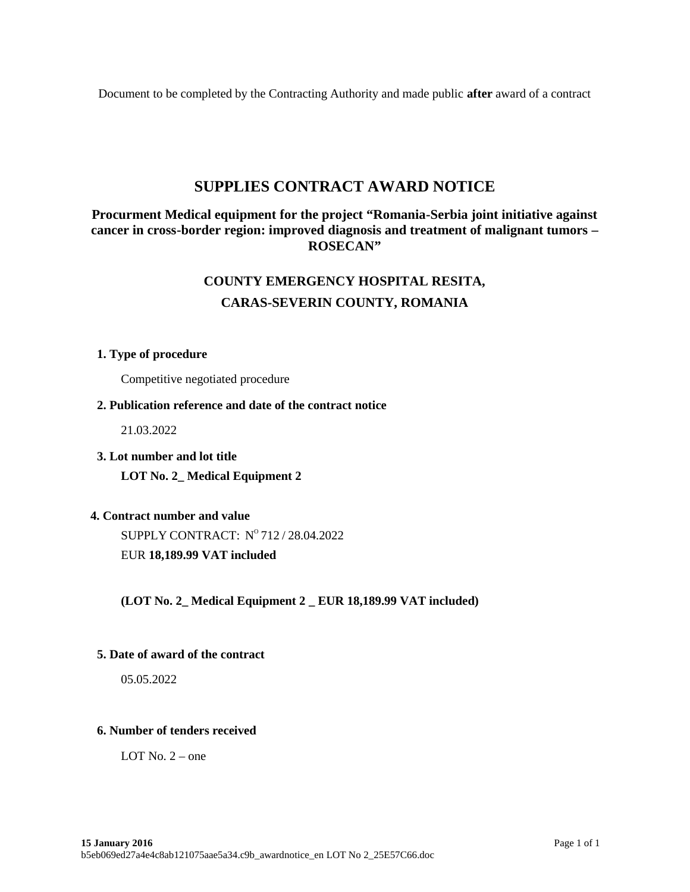Document to be completed by the Contracting Authority and made public **after** award of a contract

## **SUPPLIES CONTRACT AWARD NOTICE**

## **Procurment Medical equipment for the project "Romania-Serbia joint initiative against cancer in cross-border region: improved diagnosis and treatment of malignant tumors – ROSECAN"**

# **COUNTY EMERGENCY HOSPITAL RESITA, CARAS-SEVERIN COUNTY, ROMANIA**

## **1. Type of procedure**

Competitive negotiated procedure

## **2. Publication reference and date of the contract notice**

21.03.2022

**3. Lot number and lot title**

**LOT No. 2\_ Medical Equipment 2**

## **4. Contract number and value**

SUPPLY CONTRACT:  $N^{\rm o}\,712$  / 28.04.2022 EUR **18,189.99 VAT included**

**(LOT No. 2\_ Medical Equipment 2 \_ EUR 18,189.99 VAT included)**

## **5. Date of award of the contract**

05.05.2022

## **6. Number of tenders received**

LOT No.  $2$  – one